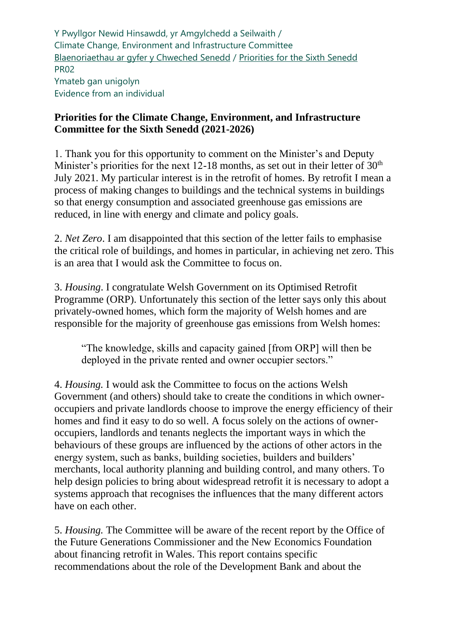Y Pwyllgor Newid Hinsawdd, yr Amgylchedd a Seilwaith / Climate Change, Environment and Infrastructure Committee [Blaenoriaethau ar gyfer y Chweched Senedd](https://busnes.senedd.cymru/mgConsultationDisplay.aspx?id=427&RPID=1026452002&cp=yes) / Priorities [for the Sixth Senedd](https://business.senedd.wales/mgConsultationDisplay.aspx?id=427&RPID=1026452002&cp=yes) PR02 Ymateb gan unigolyn Evidence from an individual

## **Priorities for the Climate Change, Environment, and Infrastructure Committee for the Sixth Senedd (2021-2026)**

1. Thank you for this opportunity to comment on the Minister's and Deputy Minister's priorities for the next 12-18 months, as set out in their letter of  $30<sup>th</sup>$ July 2021. My particular interest is in the retrofit of homes. By retrofit I mean a process of making changes to buildings and the technical systems in buildings so that energy consumption and associated greenhouse gas emissions are reduced, in line with energy and climate and policy goals.

2. *Net Zero*. I am disappointed that this section of the letter fails to emphasise the critical role of buildings, and homes in particular, in achieving net zero. This is an area that I would ask the Committee to focus on.

3. *Housing*. I congratulate Welsh Government on its Optimised Retrofit Programme (ORP). Unfortunately this section of the letter says only this about privately-owned homes, which form the majority of Welsh homes and are responsible for the majority of greenhouse gas emissions from Welsh homes:

"The knowledge, skills and capacity gained [from ORP] will then be deployed in the private rented and owner occupier sectors."

4. *Housing.* I would ask the Committee to focus on the actions Welsh Government (and others) should take to create the conditions in which owneroccupiers and private landlords choose to improve the energy efficiency of their homes and find it easy to do so well. A focus solely on the actions of owneroccupiers, landlords and tenants neglects the important ways in which the behaviours of these groups are influenced by the actions of other actors in the energy system, such as banks, building societies, builders and builders' merchants, local authority planning and building control, and many others. To help design policies to bring about widespread retrofit it is necessary to adopt a systems approach that recognises the influences that the many different actors have on each other.

5. *Housing.* The Committee will be aware of the recent report by the Office of the Future Generations Commissioner and the New Economics Foundation about financing retrofit in Wales. This report contains specific recommendations about the role of the Development Bank and about the